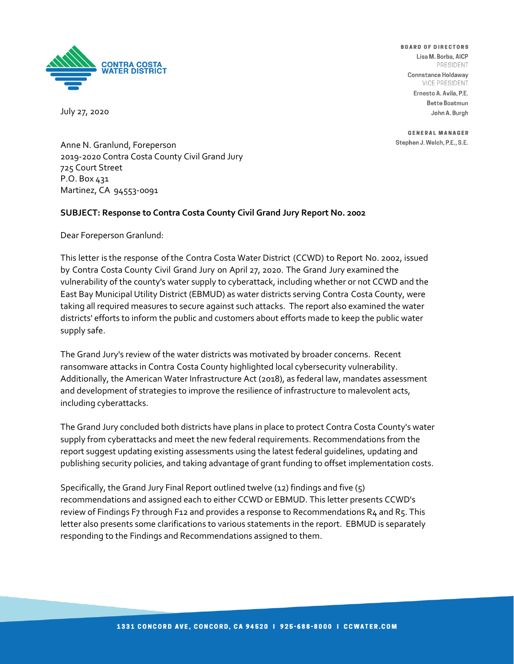

July 27, 2020

**BOARD OF DIRECTORS** Lisa M. Borba, AICP PRESIDENT

Connstance Holdaway VICE PRESIDENT

Ernesto A. Avila, P.E. **Bette Boatmun** John A. Burah

**GENERAL MANAGER** Stephen J. Welch, P.E., S.E.

Anne N. Granlund, Foreperson 2019-2020 Contra Costa County Civil Grand Jury 725 Court Street P.O. Box 431 Martinez, CA 94553-0091

#### **SUBJECT: Response to Contra Costa County Civil Grand Jury Report No. 2002**

Dear Foreperson Granlund:

This letter is the response of the Contra Costa Water District (CCWD) to Report No. 2002, issued by Contra Costa County Civil Grand Jury on April 27, 2020. The Grand Jury examined the vulnerability of the county's water supply to cyberattack, including whether or not CCWD and the East Bay Municipal Utility District (EBMUD) as water districts serving Contra Costa County, were taking all required measures to secure against such attacks. The report also examined the water districts' efforts to inform the public and customers about efforts made to keep the public water supply safe.

The Grand Jury's review of the water districts was motivated by broader concerns. Recent ransomware attacks in Contra Costa County highlighted local cybersecurity vulnerability. Additionally, the American Water Infrastructure Act (2018), as federal law, mandates assessment and development of strategies to improve the resilience of infrastructure to malevolent acts, including cyberattacks.

The Grand Jury concluded both districts have plans in place to protect Contra Costa County's water supply from cyberattacks and meet the new federal requirements. Recommendations from the report suggest updating existing assessments using the latest federal guidelines, updating and publishing security policies, and taking advantage of grant funding to offset implementation costs.

Specifically, the Grand Jury Final Report outlined twelve (12) findings and five (5) recommendations and assigned each to either CCWD or EBMUD. This letter presents CCWD's review of Findings F7 through F12 and provides a response to Recommendations R4 and R5. This letter also presents some clarifications to various statements in the report. EBMUD is separately responding to the Findings and Recommendations assigned to them.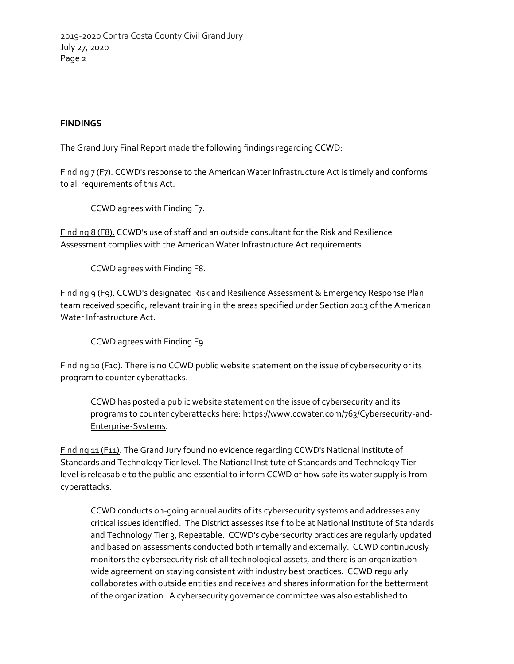2019-2020 Contra Costa County Civil Grand Jury July 27, 2020 Page 2

### **FINDINGS**

The Grand Jury Final Report made the following findings regarding CCWD:

Finding 7 (F7). CCWD's response to the American Water Infrastructure Act is timely and conforms to all requirements of this Act.

CCWD agrees with Finding F7.

Finding 8 (F8). CCWD's use of staff and an outside consultant for the Risk and Resilience Assessment complies with the American Water Infrastructure Act requirements.

CCWD agrees with Finding F8.

Finding 9 (F9). CCWD's designated Risk and Resilience Assessment & Emergency Response Plan team received specific, relevant training in the areas specified under Section 2013 of the American Water Infrastructure Act.

CCWD agrees with Finding F9.

Finding 10 (F10). There is no CCWD public website statement on the issue of cybersecurity or its program to counter cyberattacks.

CCWD has posted a public website statement on the issue of cybersecurity and its programs to counter cyberattacks here[: https://www.ccwater.com/763/Cybersecurity-and-](https://www.ccwater.com/763/Cybersecurity-and-Enterprise-Systems)[Enterprise-Systems.](https://www.ccwater.com/763/Cybersecurity-and-Enterprise-Systems)

Finding 11 (F11). The Grand Jury found no evidence regarding CCWD's National Institute of Standards and Technology Tier level. The National Institute of Standards and Technology Tier level is releasable to the public and essential to inform CCWD of how safe its water supply is from cyberattacks.

CCWD conducts on-going annual audits of its cybersecurity systems and addresses any critical issues identified. The District assesses itself to be at National Institute of Standards and Technology Tier 3, Repeatable. CCWD's cybersecurity practices are regularly updated and based on assessments conducted both internally and externally. CCWD continuously monitors the cybersecurity risk of all technological assets, and there is an organizationwide agreement on staying consistent with industry best practices. CCWD regularly collaborates with outside entities and receives and shares information for the betterment of the organization. A cybersecurity governance committee was also established to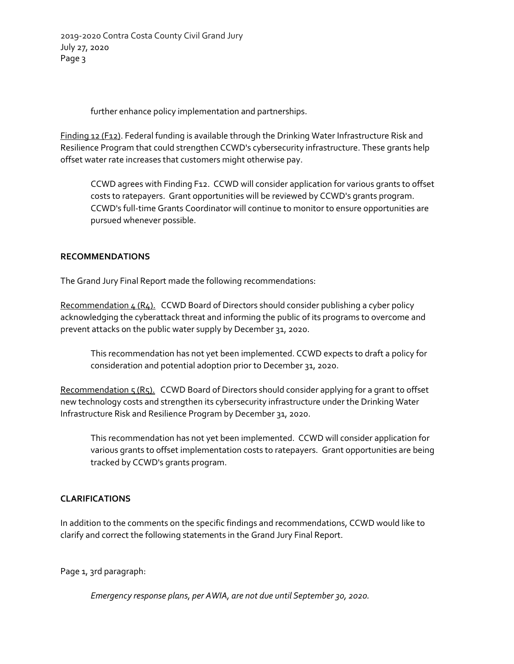2019-2020 Contra Costa County Civil Grand Jury July 27, 2020 Page 3

further enhance policy implementation and partnerships.

Finding 12 (F12). Federal funding is available through the Drinking Water Infrastructure Risk and Resilience Program that could strengthen CCWD's cybersecurity infrastructure. These grants help offset water rate increases that customers might otherwise pay.

CCWD agrees with Finding F12. CCWD will consider application for various grants to offset costs to ratepayers. Grant opportunities will be reviewed by CCWD's grants program. CCWD's full-time Grants Coordinator will continue to monitor to ensure opportunities are pursued whenever possible.

# **RECOMMENDATIONS**

The Grand Jury Final Report made the following recommendations:

Recommendation  $4(R_4)$ . CCWD Board of Directors should consider publishing a cyber policy acknowledging the cyberattack threat and informing the public of its programs to overcome and prevent attacks on the public water supply by December 31, 2020.

This recommendation has not yet been implemented. CCWD expects to draft a policy for consideration and potential adoption prior to December 31, 2020.

Recommendation 5 (R5). CCWD Board of Directors should consider applying for a grant to offset new technology costs and strengthen its cybersecurity infrastructure under the Drinking Water Infrastructure Risk and Resilience Program by December 31, 2020.

This recommendation has not yet been implemented. CCWD will consider application for various grants to offset implementation costs to ratepayers. Grant opportunities are being tracked by CCWD's grants program.

# **CLARIFICATIONS**

In addition to the comments on the specific findings and recommendations, CCWD would like to clarify and correct the following statements in the Grand Jury Final Report.

Page 1, 3rd paragraph:

*Emergency response plans, per AWIA, are not due until September 30, 2020.*